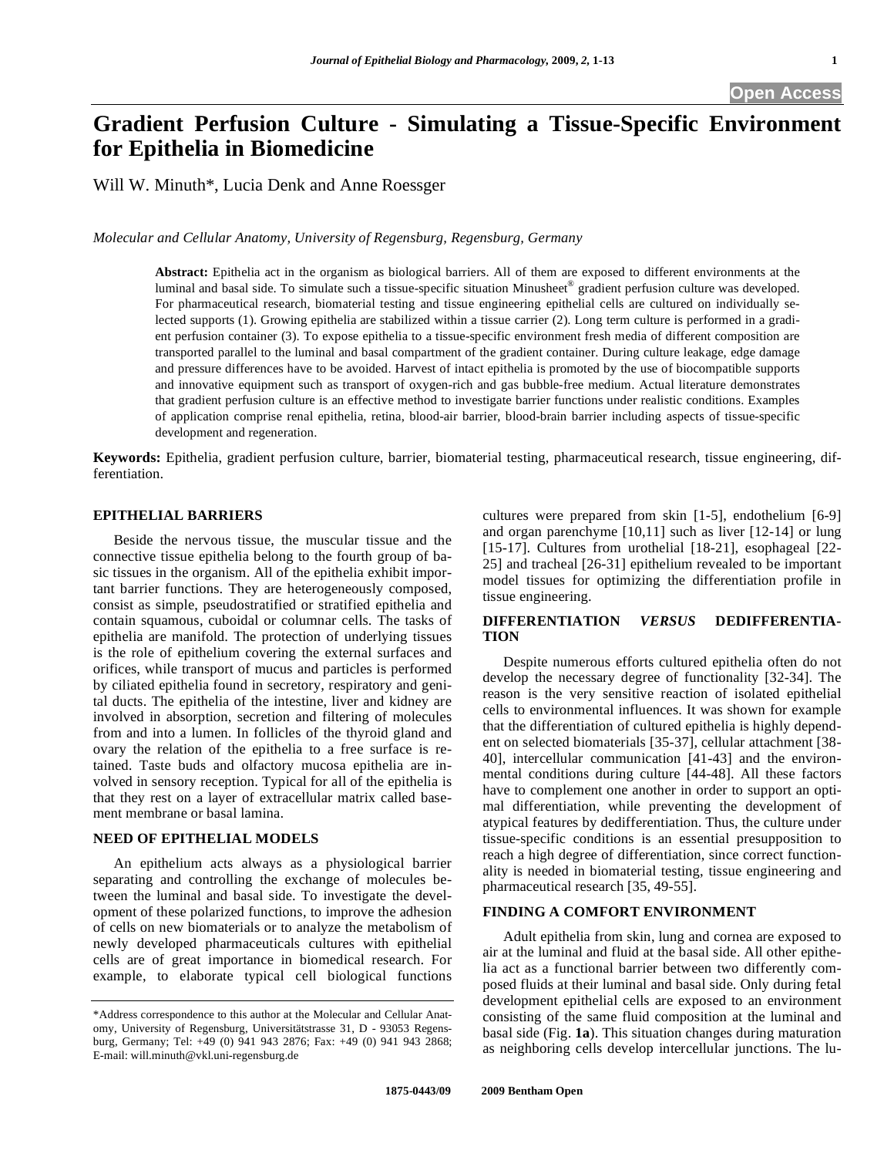# **Gradient Perfusion Culture - Simulating a Tissue-Specific Environment for Epithelia in Biomedicine**

Will W. Minuth\*, Lucia Denk and Anne Roessger

*Molecular and Cellular Anatomy, University of Regensburg, Regensburg, Germany* 

**Abstract:** Epithelia act in the organism as biological barriers. All of them are exposed to different environments at the luminal and basal side. To simulate such a tissue-specific situation Minusheet® gradient perfusion culture was developed. For pharmaceutical research, biomaterial testing and tissue engineering epithelial cells are cultured on individually selected supports (1). Growing epithelia are stabilized within a tissue carrier (2). Long term culture is performed in a gradient perfusion container (3). To expose epithelia to a tissue-specific environment fresh media of different composition are transported parallel to the luminal and basal compartment of the gradient container. During culture leakage, edge damage and pressure differences have to be avoided. Harvest of intact epithelia is promoted by the use of biocompatible supports and innovative equipment such as transport of oxygen-rich and gas bubble-free medium. Actual literature demonstrates that gradient perfusion culture is an effective method to investigate barrier functions under realistic conditions. Examples of application comprise renal epithelia, retina, blood-air barrier, blood-brain barrier including aspects of tissue-specific development and regeneration.

**Keywords:** Epithelia, gradient perfusion culture, barrier, biomaterial testing, pharmaceutical research, tissue engineering, differentiation.

# **EPITHELIAL BARRIERS**

 Beside the nervous tissue, the muscular tissue and the connective tissue epithelia belong to the fourth group of basic tissues in the organism. All of the epithelia exhibit important barrier functions. They are heterogeneously composed, consist as simple, pseudostratified or stratified epithelia and contain squamous, cuboidal or columnar cells. The tasks of epithelia are manifold. The protection of underlying tissues is the role of epithelium covering the external surfaces and orifices, while transport of mucus and particles is performed by ciliated epithelia found in secretory, respiratory and genital ducts. The epithelia of the intestine, liver and kidney are involved in absorption, secretion and filtering of molecules from and into a lumen. In follicles of the thyroid gland and ovary the relation of the epithelia to a free surface is retained. Taste buds and olfactory mucosa epithelia are involved in sensory reception. Typical for all of the epithelia is that they rest on a layer of extracellular matrix called basement membrane or basal lamina.

#### **NEED OF EPITHELIAL MODELS**

 An epithelium acts always as a physiological barrier separating and controlling the exchange of molecules between the luminal and basal side. To investigate the development of these polarized functions, to improve the adhesion of cells on new biomaterials or to analyze the metabolism of newly developed pharmaceuticals cultures with epithelial cells are of great importance in biomedical research. For example, to elaborate typical cell biological functions cultures were prepared from skin [1-5], endothelium [6-9] and organ parenchyme [10,11] such as liver [12-14] or lung [15-17]. Cultures from urothelial [18-21], esophageal [22- 25] and tracheal [26-31] epithelium revealed to be important model tissues for optimizing the differentiation profile in tissue engineering.

# **DIFFERENTIATION** *VERSUS* **DEDIFFERENTIA-TION**

 Despite numerous efforts cultured epithelia often do not develop the necessary degree of functionality [32-34]. The reason is the very sensitive reaction of isolated epithelial cells to environmental influences. It was shown for example that the differentiation of cultured epithelia is highly dependent on selected biomaterials [35-37], cellular attachment [38- 40], intercellular communication [41-43] and the environmental conditions during culture [44-48]. All these factors have to complement one another in order to support an optimal differentiation, while preventing the development of atypical features by dedifferentiation. Thus, the culture under tissue-specific conditions is an essential presupposition to reach a high degree of differentiation, since correct functionality is needed in biomaterial testing, tissue engineering and pharmaceutical research [35, 49-55].

## **FINDING A COMFORT ENVIRONMENT**

 Adult epithelia from skin, lung and cornea are exposed to air at the luminal and fluid at the basal side. All other epithelia act as a functional barrier between two differently composed fluids at their luminal and basal side. Only during fetal development epithelial cells are exposed to an environment consisting of the same fluid composition at the luminal and basal side (Fig. **1a**). This situation changes during maturation as neighboring cells develop intercellular junctions. The lu-

<sup>\*</sup>Address correspondence to this author at the Molecular and Cellular Anatomy, University of Regensburg, Universitätstrasse 31, D - 93053 Regensburg, Germany; Tel: +49 (0) 941 943 2876; Fax: +49 (0) 941 943 2868; E-mail: will.minuth@vkl.uni-regensburg.de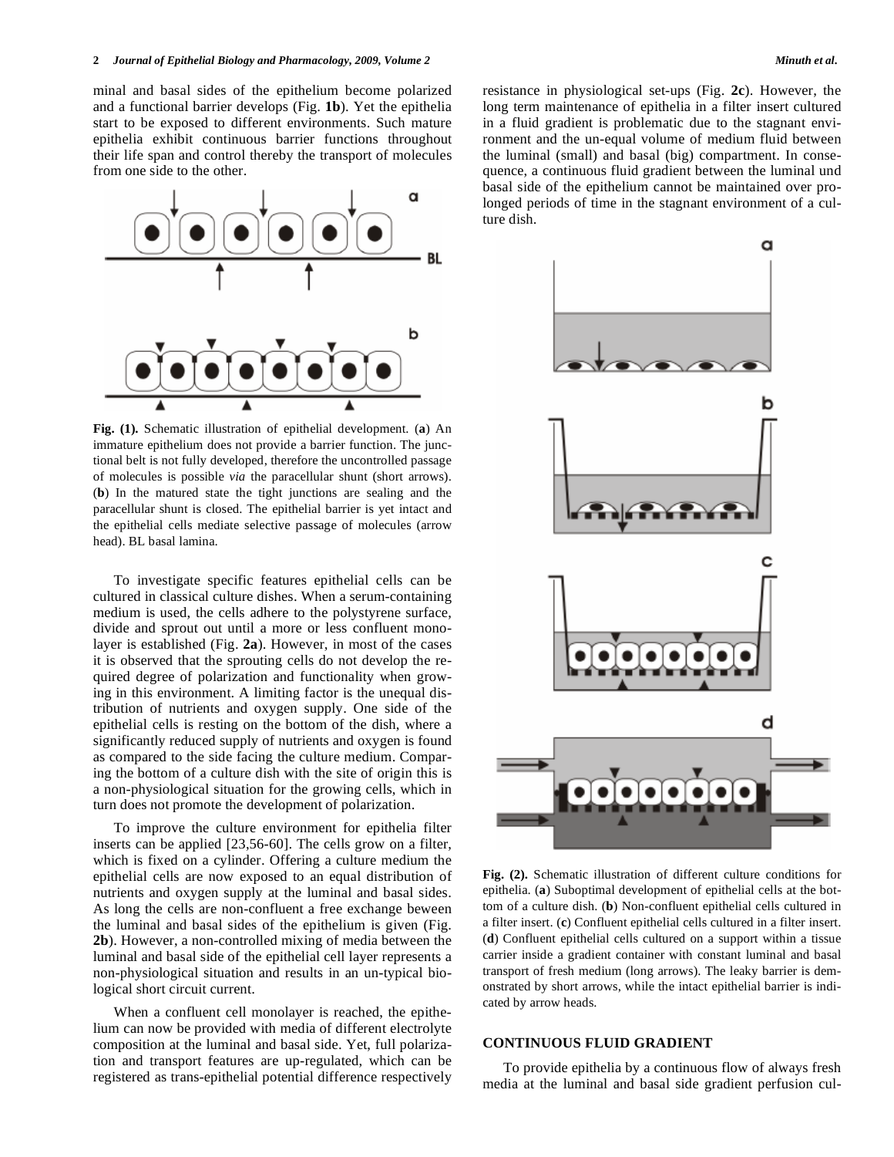minal and basal sides of the epithelium become polarized and a functional barrier develops (Fig. **1b**). Yet the epithelia start to be exposed to different environments. Such mature epithelia exhibit continuous barrier functions throughout their life span and control thereby the transport of molecules from one side to the other.



**Fig. (1).** Schematic illustration of epithelial development. (**a**) An immature epithelium does not provide a barrier function. The junctional belt is not fully developed, therefore the uncontrolled passage of molecules is possible *via* the paracellular shunt (short arrows). (**b**) In the matured state the tight junctions are sealing and the paracellular shunt is closed. The epithelial barrier is yet intact and the epithelial cells mediate selective passage of molecules (arrow head). BL basal lamina.

 To investigate specific features epithelial cells can be cultured in classical culture dishes. When a serum-containing medium is used, the cells adhere to the polystyrene surface, divide and sprout out until a more or less confluent monolayer is established (Fig. **2a**). However, in most of the cases it is observed that the sprouting cells do not develop the required degree of polarization and functionality when growing in this environment. A limiting factor is the unequal distribution of nutrients and oxygen supply. One side of the epithelial cells is resting on the bottom of the dish, where a significantly reduced supply of nutrients and oxygen is found as compared to the side facing the culture medium. Comparing the bottom of a culture dish with the site of origin this is a non-physiological situation for the growing cells, which in turn does not promote the development of polarization.

 To improve the culture environment for epithelia filter inserts can be applied [23,56-60]. The cells grow on a filter, which is fixed on a cylinder. Offering a culture medium the epithelial cells are now exposed to an equal distribution of nutrients and oxygen supply at the luminal and basal sides. As long the cells are non-confluent a free exchange beween the luminal and basal sides of the epithelium is given (Fig. **2b**). However, a non-controlled mixing of media between the luminal and basal side of the epithelial cell layer represents a non-physiological situation and results in an un-typical biological short circuit current.

 When a confluent cell monolayer is reached, the epithelium can now be provided with media of different electrolyte composition at the luminal and basal side. Yet, full polarization and transport features are up-regulated, which can be registered as trans-epithelial potential difference respectively resistance in physiological set-ups (Fig. **2c**). However, the long term maintenance of epithelia in a filter insert cultured in a fluid gradient is problematic due to the stagnant environment and the un-equal volume of medium fluid between the luminal (small) and basal (big) compartment. In consequence, a continuous fluid gradient between the luminal und basal side of the epithelium cannot be maintained over prolonged periods of time in the stagnant environment of a culture dish.



**Fig. (2).** Schematic illustration of different culture conditions for epithelia. (**a**) Suboptimal development of epithelial cells at the bottom of a culture dish. (**b**) Non-confluent epithelial cells cultured in a filter insert. (**c**) Confluent epithelial cells cultured in a filter insert. (**d**) Confluent epithelial cells cultured on a support within a tissue carrier inside a gradient container with constant luminal and basal transport of fresh medium (long arrows). The leaky barrier is demonstrated by short arrows, while the intact epithelial barrier is indicated by arrow heads.

## **CONTINUOUS FLUID GRADIENT**

 To provide epithelia by a continuous flow of always fresh media at the luminal and basal side gradient perfusion cul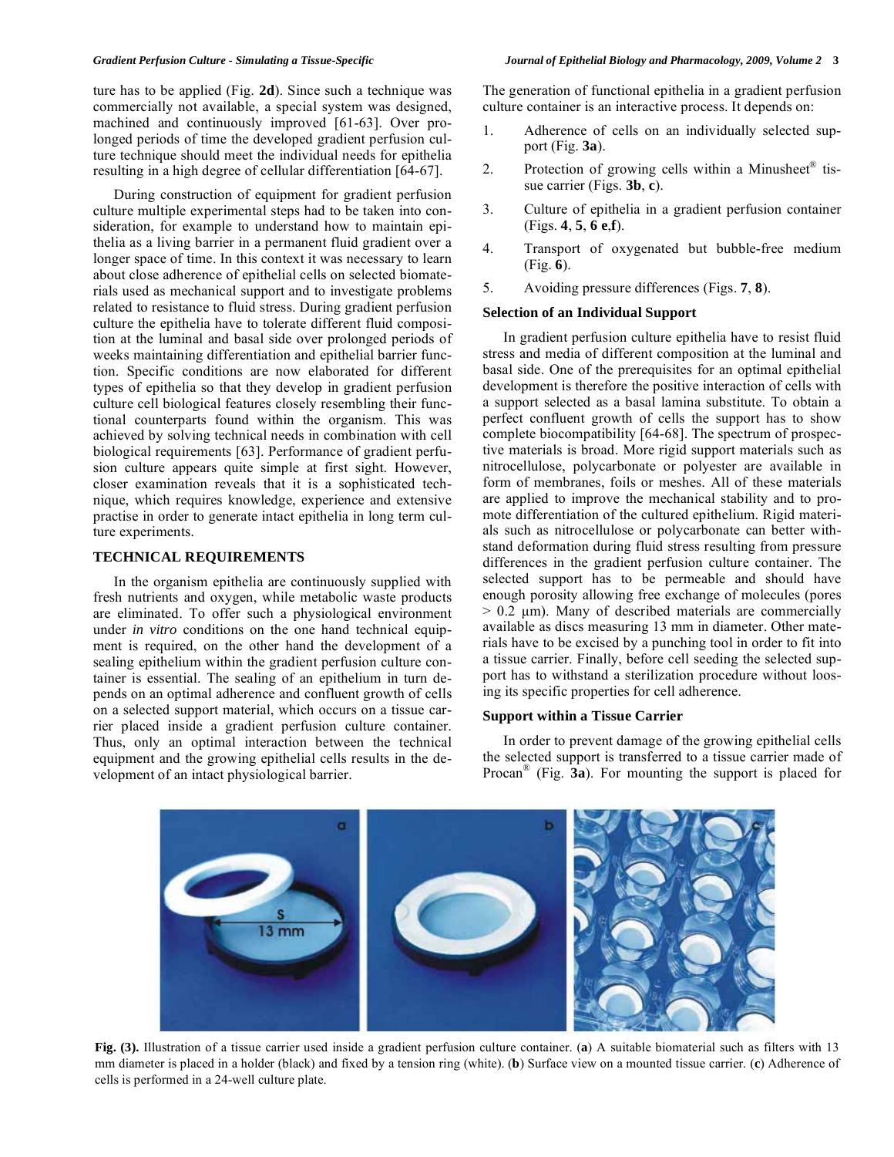ture has to be applied (Fig. **2d**). Since such a technique was commercially not available, a special system was designed, machined and continuously improved [61-63]. Over prolonged periods of time the developed gradient perfusion culture technique should meet the individual needs for epithelia resulting in a high degree of cellular differentiation [64-67].

 During construction of equipment for gradient perfusion culture multiple experimental steps had to be taken into consideration, for example to understand how to maintain epithelia as a living barrier in a permanent fluid gradient over a longer space of time. In this context it was necessary to learn about close adherence of epithelial cells on selected biomaterials used as mechanical support and to investigate problems related to resistance to fluid stress. During gradient perfusion culture the epithelia have to tolerate different fluid composition at the luminal and basal side over prolonged periods of weeks maintaining differentiation and epithelial barrier function. Specific conditions are now elaborated for different types of epithelia so that they develop in gradient perfusion culture cell biological features closely resembling their functional counterparts found within the organism. This was achieved by solving technical needs in combination with cell biological requirements [63]. Performance of gradient perfusion culture appears quite simple at first sight. However, closer examination reveals that it is a sophisticated technique, which requires knowledge, experience and extensive practise in order to generate intact epithelia in long term culture experiments.

## **TECHNICAL REQUIREMENTS**

 In the organism epithelia are continuously supplied with fresh nutrients and oxygen, while metabolic waste products are eliminated. To offer such a physiological environment under *in vitro* conditions on the one hand technical equipment is required, on the other hand the development of a sealing epithelium within the gradient perfusion culture container is essential. The sealing of an epithelium in turn depends on an optimal adherence and confluent growth of cells on a selected support material, which occurs on a tissue carrier placed inside a gradient perfusion culture container. Thus, only an optimal interaction between the technical equipment and the growing epithelial cells results in the development of an intact physiological barrier.

The generation of functional epithelia in a gradient perfusion culture container is an interactive process. It depends on:

- 1. Adherence of cells on an individually selected support (Fig. **3a**).
- 2. Protection of growing cells within a Minusheet $^{\circ}$  tissue carrier (Figs. **3b**, **c**).
- 3. Culture of epithelia in a gradient perfusion container (Figs. **4**, **5**, **6 e**,**f**).
- 4. Transport of oxygenated but bubble-free medium (Fig. **6**).
- 5. Avoiding pressure differences (Figs. **7**, **8**).

# **Selection of an Individual Support**

 In gradient perfusion culture epithelia have to resist fluid stress and media of different composition at the luminal and basal side. One of the prerequisites for an optimal epithelial development is therefore the positive interaction of cells with a support selected as a basal lamina substitute. To obtain a perfect confluent growth of cells the support has to show complete biocompatibility [64-68]. The spectrum of prospective materials is broad. More rigid support materials such as nitrocellulose, polycarbonate or polyester are available in form of membranes, foils or meshes. All of these materials are applied to improve the mechanical stability and to promote differentiation of the cultured epithelium. Rigid materials such as nitrocellulose or polycarbonate can better withstand deformation during fluid stress resulting from pressure differences in the gradient perfusion culture container. The selected support has to be permeable and should have enough porosity allowing free exchange of molecules (pores  $> 0.2$  μm). Many of described materials are commercially available as discs measuring 13 mm in diameter. Other materials have to be excised by a punching tool in order to fit into a tissue carrier. Finally, before cell seeding the selected support has to withstand a sterilization procedure without loosing its specific properties for cell adherence.

## **Support within a Tissue Carrier**

 In order to prevent damage of the growing epithelial cells the selected support is transferred to a tissue carrier made of Procan® (Fig. **3a**). For mounting the support is placed for



**Fig. (3).** Illustration of a tissue carrier used inside a gradient perfusion culture container. (**a**) A suitable biomaterial such as filters with 13 mm diameter is placed in a holder (black) and fixed by a tension ring (white). (**b**) Surface view on a mounted tissue carrier. (**c**) Adherence of cells is performed in a 24-well culture plate.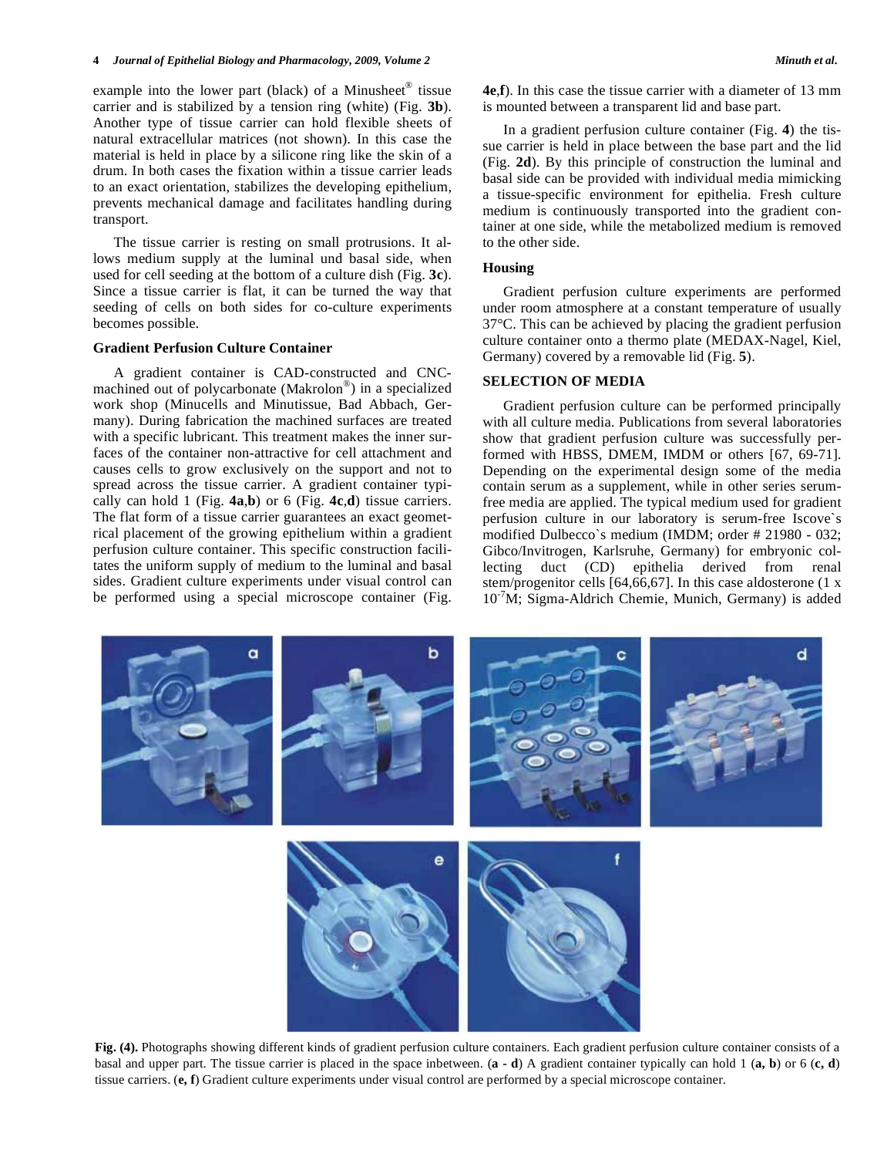example into the lower part (black) of a Minusheet® tissue carrier and is stabilized by a tension ring (white) (Fig. **3b**). Another type of tissue carrier can hold flexible sheets of natural extracellular matrices (not shown). In this case the material is held in place by a silicone ring like the skin of a drum. In both cases the fixation within a tissue carrier leads to an exact orientation, stabilizes the developing epithelium, prevents mechanical damage and facilitates handling during transport.

 The tissue carrier is resting on small protrusions. It allows medium supply at the luminal und basal side, when used for cell seeding at the bottom of a culture dish (Fig. **3c**). Since a tissue carrier is flat, it can be turned the way that seeding of cells on both sides for co-culture experiments becomes possible.

## **Gradient Perfusion Culture Container**

 A gradient container is CAD-constructed and CNCmachined out of polycarbonate (Makrolon®) in a specialized work shop (Minucells and Minutissue, Bad Abbach, Germany). During fabrication the machined surfaces are treated with a specific lubricant. This treatment makes the inner surfaces of the container non-attractive for cell attachment and causes cells to grow exclusively on the support and not to spread across the tissue carrier. A gradient container typically can hold 1 (Fig. **4a**,**b**) or 6 (Fig. **4c**,**d**) tissue carriers. The flat form of a tissue carrier guarantees an exact geometrical placement of the growing epithelium within a gradient perfusion culture container. This specific construction facilitates the uniform supply of medium to the luminal and basal sides. Gradient culture experiments under visual control can be performed using a special microscope container (Fig. **4e**,**f**). In this case the tissue carrier with a diameter of 13 mm is mounted between a transparent lid and base part.

 In a gradient perfusion culture container (Fig. **4**) the tissue carrier is held in place between the base part and the lid (Fig. **2d**). By this principle of construction the luminal and basal side can be provided with individual media mimicking a tissue-specific environment for epithelia. Fresh culture medium is continuously transported into the gradient container at one side, while the metabolized medium is removed to the other side.

## **Housing**

 Gradient perfusion culture experiments are performed under room atmosphere at a constant temperature of usually 37°C. This can be achieved by placing the gradient perfusion culture container onto a thermo plate (MEDAX-Nagel, Kiel, Germany) covered by a removable lid (Fig. **5**).

#### **SELECTION OF MEDIA**

 Gradient perfusion culture can be performed principally with all culture media. Publications from several laboratories show that gradient perfusion culture was successfully performed with HBSS, DMEM, IMDM or others [67, 69-71]. Depending on the experimental design some of the media contain serum as a supplement, while in other series serumfree media are applied. The typical medium used for gradient perfusion culture in our laboratory is serum-free Iscove`s modified Dulbecco`s medium (IMDM; order # 21980 - 032; Gibco/Invitrogen, Karlsruhe, Germany) for embryonic collecting duct (CD) epithelia derived from renal stem/progenitor cells [64,66,67]. In this case aldosterone (1 x  $10<sup>-7</sup>M$ ; Sigma-Aldrich Chemie, Munich, Germany) is added



**Fig. (4).** Photographs showing different kinds of gradient perfusion culture containers. Each gradient perfusion culture container consists of a basal and upper part. The tissue carrier is placed in the space inbetween. (**a - d**) A gradient container typically can hold 1 (**a, b**) or 6 (**c, d**) tissue carriers. (**e, f**) Gradient culture experiments under visual control are performed by a special microscope container.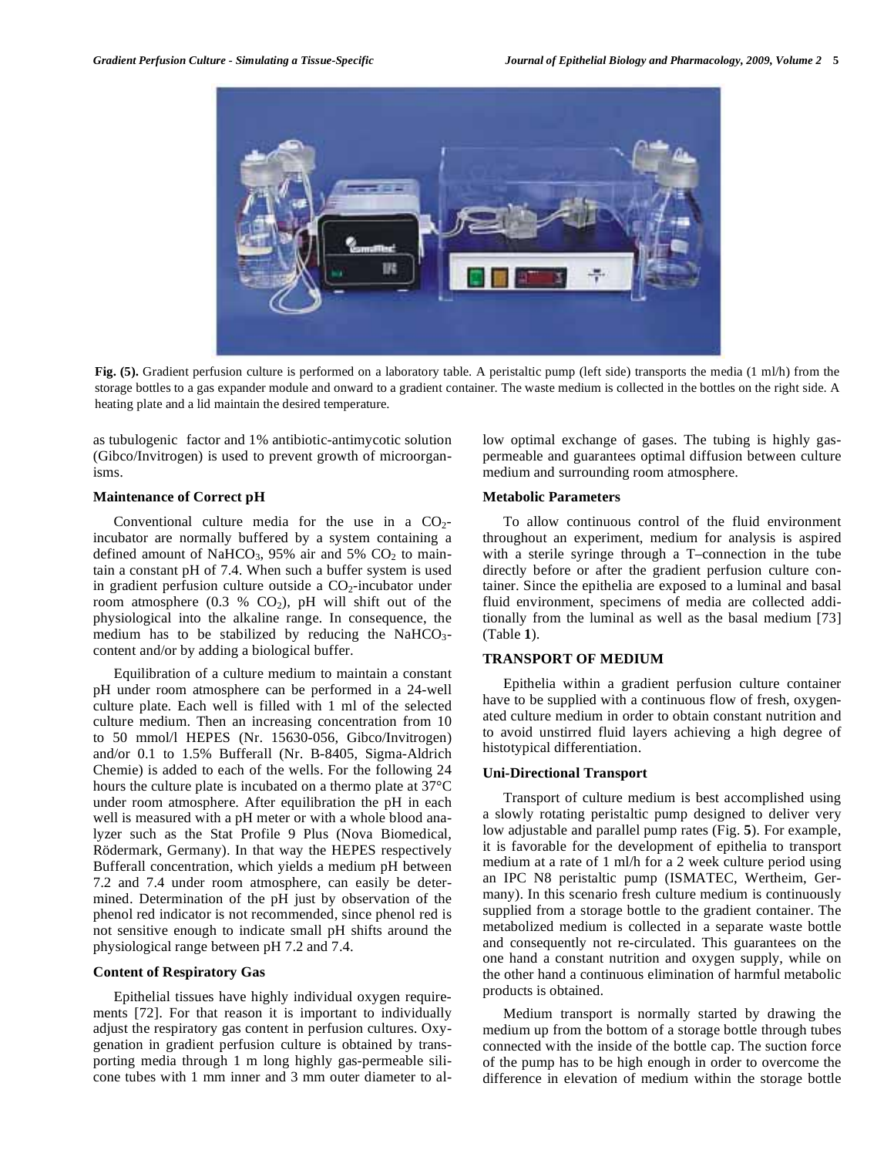

**Fig. (5).** Gradient perfusion culture is performed on a laboratory table. A peristaltic pump (left side) transports the media (1 ml/h) from the storage bottles to a gas expander module and onward to a gradient container. The waste medium is collected in the bottles on the right side. A heating plate and a lid maintain the desired temperature.

as tubulogenic factor and 1% antibiotic-antimycotic solution (Gibco/Invitrogen) is used to prevent growth of microorganisms.

## **Maintenance of Correct pH**

Conventional culture media for the use in a  $CO<sub>2</sub>$ incubator are normally buffered by a system containing a defined amount of NaHCO<sub>3</sub>, 95% air and 5%  $CO<sub>2</sub>$  to maintain a constant pH of 7.4. When such a buffer system is used in gradient perfusion culture outside a  $CO<sub>2</sub>$ -incubator under room atmosphere  $(0.3 % CO<sub>2</sub>)$ , pH will shift out of the physiological into the alkaline range. In consequence, the medium has to be stabilized by reducing the  $NAHCO<sub>3</sub>$ content and/or by adding a biological buffer.

 Equilibration of a culture medium to maintain a constant pH under room atmosphere can be performed in a 24-well culture plate. Each well is filled with 1 ml of the selected culture medium. Then an increasing concentration from 10 to 50 mmol/l HEPES (Nr. 15630-056, Gibco/Invitrogen) and/or 0.1 to 1.5% Bufferall (Nr. B-8405, Sigma-Aldrich Chemie) is added to each of the wells. For the following 24 hours the culture plate is incubated on a thermo plate at 37°C under room atmosphere. After equilibration the pH in each well is measured with a pH meter or with a whole blood analyzer such as the Stat Profile 9 Plus (Nova Biomedical, Rödermark, Germany). In that way the HEPES respectively Bufferall concentration, which yields a medium pH between 7.2 and 7.4 under room atmosphere, can easily be determined. Determination of the pH just by observation of the phenol red indicator is not recommended, since phenol red is not sensitive enough to indicate small pH shifts around the physiological range between pH 7.2 and 7.4.

## **Content of Respiratory Gas**

 Epithelial tissues have highly individual oxygen requirements [72]. For that reason it is important to individually adjust the respiratory gas content in perfusion cultures. Oxygenation in gradient perfusion culture is obtained by transporting media through 1 m long highly gas-permeable silicone tubes with 1 mm inner and 3 mm outer diameter to allow optimal exchange of gases. The tubing is highly gaspermeable and guarantees optimal diffusion between culture medium and surrounding room atmosphere.

## **Metabolic Parameters**

 To allow continuous control of the fluid environment throughout an experiment, medium for analysis is aspired with a sterile syringe through a T–connection in the tube directly before or after the gradient perfusion culture container. Since the epithelia are exposed to a luminal and basal fluid environment, specimens of media are collected additionally from the luminal as well as the basal medium [73] (Table **1**).

## **TRANSPORT OF MEDIUM**

 Epithelia within a gradient perfusion culture container have to be supplied with a continuous flow of fresh, oxygenated culture medium in order to obtain constant nutrition and to avoid unstirred fluid layers achieving a high degree of histotypical differentiation.

#### **Uni-Directional Transport**

 Transport of culture medium is best accomplished using a slowly rotating peristaltic pump designed to deliver very low adjustable and parallel pump rates (Fig. **5**). For example, it is favorable for the development of epithelia to transport medium at a rate of 1 ml/h for a 2 week culture period using an IPC N8 peristaltic pump (ISMATEC, Wertheim, Germany). In this scenario fresh culture medium is continuously supplied from a storage bottle to the gradient container. The metabolized medium is collected in a separate waste bottle and consequently not re-circulated. This guarantees on the one hand a constant nutrition and oxygen supply, while on the other hand a continuous elimination of harmful metabolic products is obtained.

 Medium transport is normally started by drawing the medium up from the bottom of a storage bottle through tubes connected with the inside of the bottle cap. The suction force of the pump has to be high enough in order to overcome the difference in elevation of medium within the storage bottle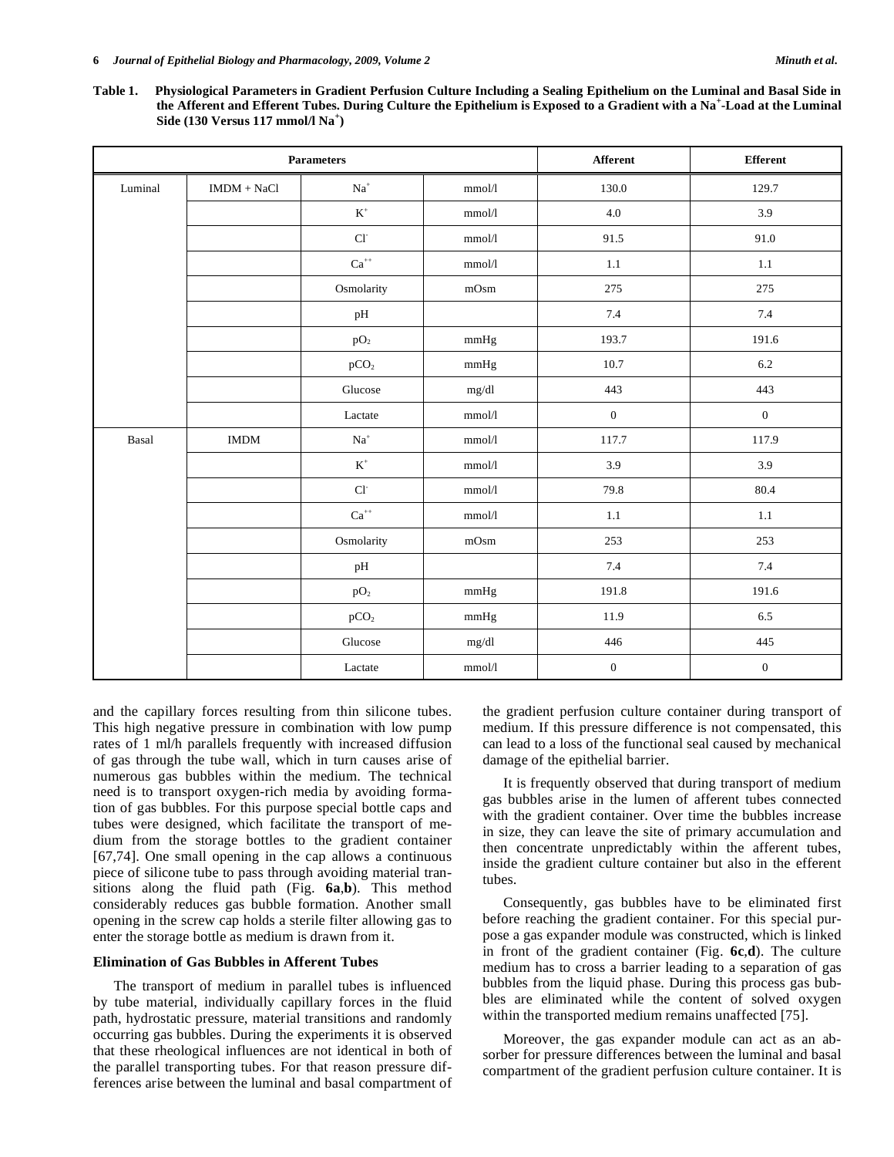**Table 1. Physiological Parameters in Gradient Perfusion Culture Including a Sealing Epithelium on the Luminal and Basal Side in the Afferent and Efferent Tubes. During Culture the Epithelium is Exposed to a Gradient with a Na<sup>+</sup> -Load at the Luminal Side (130 Versus 117 mmol/l Na<sup>+</sup> )** 

|         | <b>Parameters</b>            |                                   |                 |                  | <b>Efferent</b>  |
|---------|------------------------------|-----------------------------------|-----------------|------------------|------------------|
| Luminal | $\text{IMDM} + \text{NaCl}$  | $\mathrm{Na}^+$                   | mmol/l          | 130.0            | 129.7            |
|         |                              | $\mbox{K}^+$                      | mmol/l          | $4.0\,$          | 3.9              |
|         |                              | $\mathbf{C}\mathbf{l}^{\text{-}}$ | $\mbox{mmol/l}$ | 91.5             | 91.0             |
|         |                              | $\mathrm{Ca}^{++}$                | $\mbox{mmol/l}$ | $1.1\,$          | $1.1\,$          |
|         |                              | Osmolarity                        | mOsm            | 275              | 275              |
|         |                              | pH                                |                 | 7.4              | $7.4\,$          |
|         |                              | pO <sub>2</sub>                   | mmHg            | 193.7            | 191.6            |
|         |                              | pCO <sub>2</sub>                  | mmHg            | 10.7             | 6.2              |
|         |                              | Glucose                           | mg/dl           | 443              | 443              |
|         |                              | Lactate                           | $\mbox{mmol/l}$ | $\boldsymbol{0}$ | $\boldsymbol{0}$ |
| Basal   | $\mathop{\rm IMDM}\nolimits$ | $\mathrm{Na}^+$                   | $\mbox{mmol/l}$ | 117.7            | 117.9            |
|         |                              | $\mathbf{K}^+$                    | mmol/l          | 3.9              | 3.9              |
|         |                              | $\mathbf{Cl}^{\text{-}}$          | mmol/l          | 79.8             | 80.4             |
|         |                              | $\mathrm{Ca}^{++}$                | $\rm mmol/l$    | $1.1\,$          | $1.1\,$          |
|         |                              | Osmolarity                        | mOsm            | 253              | 253              |
|         |                              | $\rm pH$                          |                 | 7.4              | $7.4\,$          |
|         |                              | pO <sub>2</sub>                   | mmHg            | 191.8            | 191.6            |
|         |                              | pCO <sub>2</sub>                  | mmHg            | 11.9             | 6.5              |
|         |                              | Glucose                           | mg/dl           | 446              | 445              |
|         |                              | Lactate                           | $\rm mmol/l$    | $\boldsymbol{0}$ | $\boldsymbol{0}$ |

and the capillary forces resulting from thin silicone tubes. This high negative pressure in combination with low pump rates of 1 ml/h parallels frequently with increased diffusion of gas through the tube wall, which in turn causes arise of numerous gas bubbles within the medium. The technical need is to transport oxygen-rich media by avoiding formation of gas bubbles. For this purpose special bottle caps and tubes were designed, which facilitate the transport of medium from the storage bottles to the gradient container [67,74]. One small opening in the cap allows a continuous piece of silicone tube to pass through avoiding material transitions along the fluid path (Fig. **6a**,**b**). This method considerably reduces gas bubble formation. Another small opening in the screw cap holds a sterile filter allowing gas to enter the storage bottle as medium is drawn from it.

#### **Elimination of Gas Bubbles in Afferent Tubes**

 The transport of medium in parallel tubes is influenced by tube material, individually capillary forces in the fluid path, hydrostatic pressure, material transitions and randomly occurring gas bubbles. During the experiments it is observed that these rheological influences are not identical in both of the parallel transporting tubes. For that reason pressure differences arise between the luminal and basal compartment of the gradient perfusion culture container during transport of medium. If this pressure difference is not compensated, this can lead to a loss of the functional seal caused by mechanical damage of the epithelial barrier.

 It is frequently observed that during transport of medium gas bubbles arise in the lumen of afferent tubes connected with the gradient container. Over time the bubbles increase in size, they can leave the site of primary accumulation and then concentrate unpredictably within the afferent tubes, inside the gradient culture container but also in the efferent tubes.

 Consequently, gas bubbles have to be eliminated first before reaching the gradient container. For this special purpose a gas expander module was constructed, which is linked in front of the gradient container (Fig. **6c**,**d**). The culture medium has to cross a barrier leading to a separation of gas bubbles from the liquid phase. During this process gas bubbles are eliminated while the content of solved oxygen within the transported medium remains unaffected [75].

 Moreover, the gas expander module can act as an absorber for pressure differences between the luminal and basal compartment of the gradient perfusion culture container. It is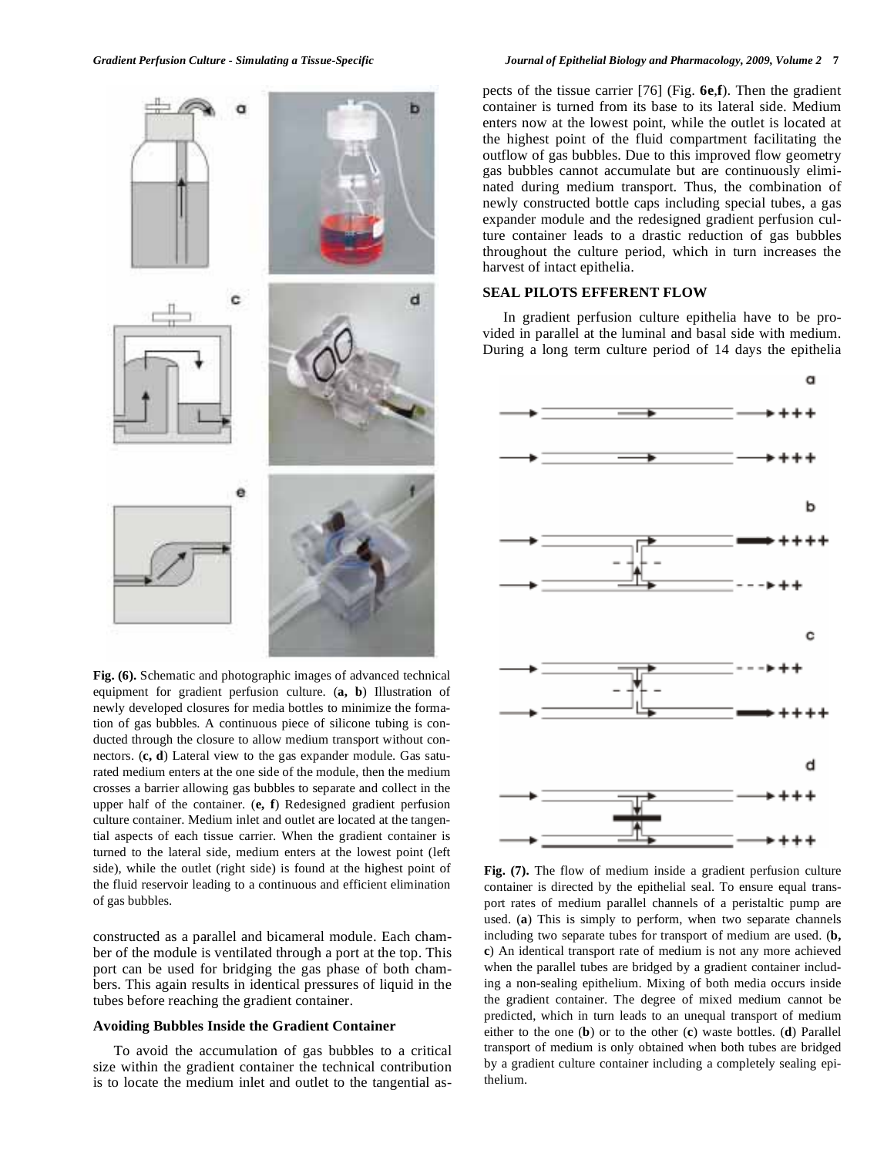#### *Gradient Perfusion Culture - Simulating a Tissue-Specific Journal of Epithelial Biology and Pharmacology, 2009, Volume 2* **7**



**Fig. (6).** Schematic and photographic images of advanced technical equipment for gradient perfusion culture. (**a, b**) Illustration of newly developed closures for media bottles to minimize the formation of gas bubbles. A continuous piece of silicone tubing is conducted through the closure to allow medium transport without connectors. (**c, d**) Lateral view to the gas expander module. Gas saturated medium enters at the one side of the module, then the medium crosses a barrier allowing gas bubbles to separate and collect in the upper half of the container. (**e, f**) Redesigned gradient perfusion culture container. Medium inlet and outlet are located at the tangential aspects of each tissue carrier. When the gradient container is turned to the lateral side, medium enters at the lowest point (left side), while the outlet (right side) is found at the highest point of the fluid reservoir leading to a continuous and efficient elimination of gas bubbles.

constructed as a parallel and bicameral module. Each chamber of the module is ventilated through a port at the top. This port can be used for bridging the gas phase of both chambers. This again results in identical pressures of liquid in the tubes before reaching the gradient container.

#### **Avoiding Bubbles Inside the Gradient Container**

 To avoid the accumulation of gas bubbles to a critical size within the gradient container the technical contribution is to locate the medium inlet and outlet to the tangential aspects of the tissue carrier [76] (Fig. **6e**,**f**). Then the gradient container is turned from its base to its lateral side. Medium enters now at the lowest point, while the outlet is located at the highest point of the fluid compartment facilitating the outflow of gas bubbles. Due to this improved flow geometry gas bubbles cannot accumulate but are continuously eliminated during medium transport. Thus, the combination of newly constructed bottle caps including special tubes, a gas expander module and the redesigned gradient perfusion culture container leads to a drastic reduction of gas bubbles throughout the culture period, which in turn increases the harvest of intact epithelia.

## **SEAL PILOTS EFFERENT FLOW**

 In gradient perfusion culture epithelia have to be provided in parallel at the luminal and basal side with medium. During a long term culture period of 14 days the epithelia



**Fig. (7).** The flow of medium inside a gradient perfusion culture container is directed by the epithelial seal. To ensure equal transport rates of medium parallel channels of a peristaltic pump are used. (**a**) This is simply to perform, when two separate channels including two separate tubes for transport of medium are used. (**b, c**) An identical transport rate of medium is not any more achieved when the parallel tubes are bridged by a gradient container including a non-sealing epithelium. Mixing of both media occurs inside the gradient container. The degree of mixed medium cannot be predicted, which in turn leads to an unequal transport of medium either to the one (**b**) or to the other (**c**) waste bottles. (**d**) Parallel transport of medium is only obtained when both tubes are bridged by a gradient culture container including a completely sealing epithelium.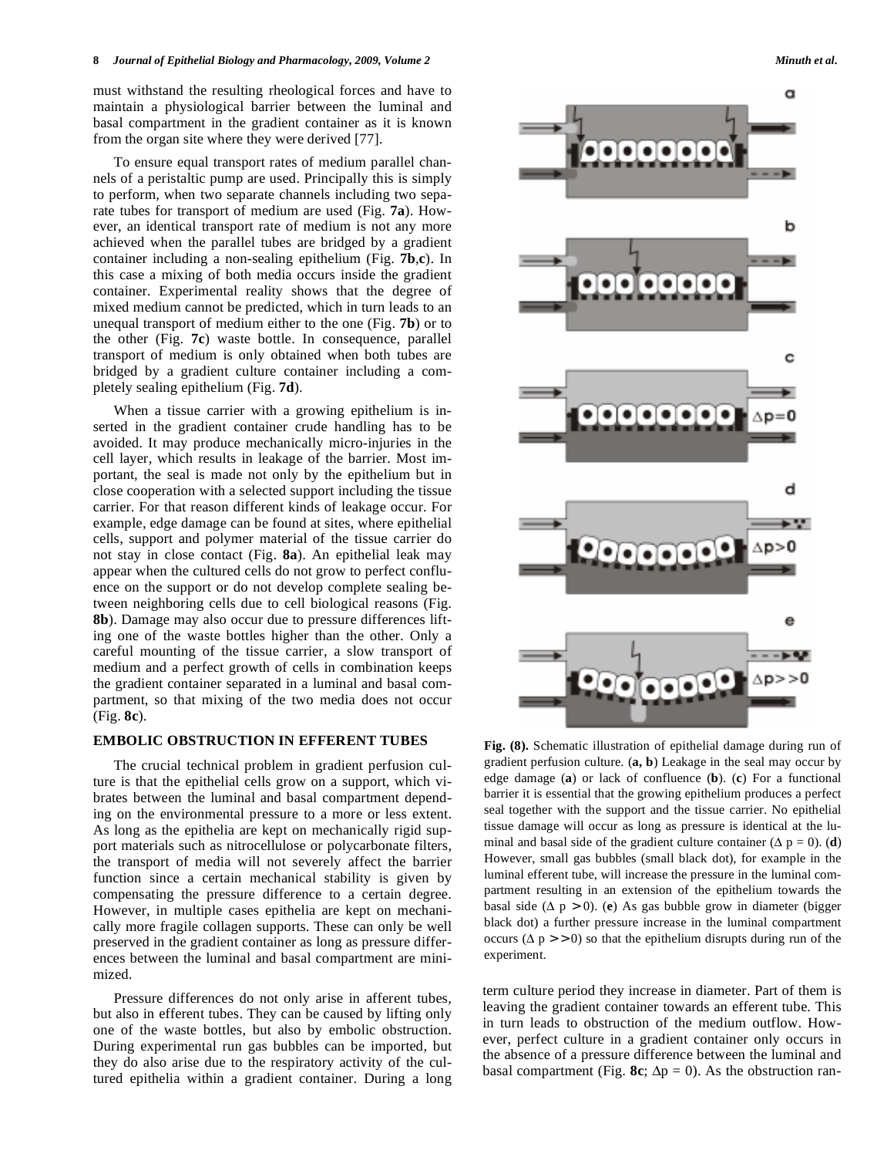must withstand the resulting rheological forces and have to maintain a physiological barrier between the luminal and basal compartment in the gradient container as it is known from the organ site where they were derived [77].

 To ensure equal transport rates of medium parallel channels of a peristaltic pump are used. Principally this is simply to perform, when two separate channels including two separate tubes for transport of medium are used (Fig. **7a**). However, an identical transport rate of medium is not any more achieved when the parallel tubes are bridged by a gradient container including a non-sealing epithelium (Fig. **7b**,**c**). In this case a mixing of both media occurs inside the gradient container. Experimental reality shows that the degree of mixed medium cannot be predicted, which in turn leads to an unequal transport of medium either to the one (Fig. **7b**) or to the other (Fig. **7c**) waste bottle. In consequence, parallel transport of medium is only obtained when both tubes are bridged by a gradient culture container including a completely sealing epithelium (Fig. **7d**).

 When a tissue carrier with a growing epithelium is inserted in the gradient container crude handling has to be avoided. It may produce mechanically micro-injuries in the cell layer, which results in leakage of the barrier. Most important, the seal is made not only by the epithelium but in close cooperation with a selected support including the tissue carrier. For that reason different kinds of leakage occur. For example, edge damage can be found at sites, where epithelial cells, support and polymer material of the tissue carrier do not stay in close contact (Fig. **8a**). An epithelial leak may appear when the cultured cells do not grow to perfect confluence on the support or do not develop complete sealing between neighboring cells due to cell biological reasons (Fig. **8b**). Damage may also occur due to pressure differences lifting one of the waste bottles higher than the other. Only a careful mounting of the tissue carrier, a slow transport of medium and a perfect growth of cells in combination keeps the gradient container separated in a luminal and basal compartment, so that mixing of the two media does not occur (Fig. **8c**).

## **EMBOLIC OBSTRUCTION IN EFFERENT TUBES**

 The crucial technical problem in gradient perfusion culture is that the epithelial cells grow on a support, which vibrates between the luminal and basal compartment depending on the environmental pressure to a more or less extent. As long as the epithelia are kept on mechanically rigid support materials such as nitrocellulose or polycarbonate filters, the transport of media will not severely affect the barrier function since a certain mechanical stability is given by compensating the pressure difference to a certain degree. However, in multiple cases epithelia are kept on mechanically more fragile collagen supports. These can only be well preserved in the gradient container as long as pressure differences between the luminal and basal compartment are minimized.

 Pressure differences do not only arise in afferent tubes, but also in efferent tubes. They can be caused by lifting only one of the waste bottles, but also by embolic obstruction. During experimental run gas bubbles can be imported, but they do also arise due to the respiratory activity of the cultured epithelia within a gradient container. During a long



**Fig. (8).** Schematic illustration of epithelial damage during run of gradient perfusion culture. (**a, b**) Leakage in the seal may occur by edge damage (**a**) or lack of confluence (**b**). (**c**) For a functional barrier it is essential that the growing epithelium produces a perfect seal together with the support and the tissue carrier. No epithelial tissue damage will occur as long as pressure is identical at the luminal and basal side of the gradient culture container  $(\Delta p = 0)$ . (**d**) However, small gas bubbles (small black dot), for example in the luminal efferent tube, will increase the pressure in the luminal compartment resulting in an extension of the epithelium towards the basal side  $(\Delta p > 0)$ . (**e**) As gas bubble grow in diameter (bigger black dot) a further pressure increase in the luminal compartment occurs ( $\Delta p > 0$ ) so that the epithelium disrupts during run of the experiment.

term culture period they increase in diameter. Part of them is leaving the gradient container towards an efferent tube. This in turn leads to obstruction of the medium outflow. However, perfect culture in a gradient container only occurs in the absence of a pressure difference between the luminal and basal compartment (Fig. 8c;  $\Delta p = 0$ ). As the obstruction ran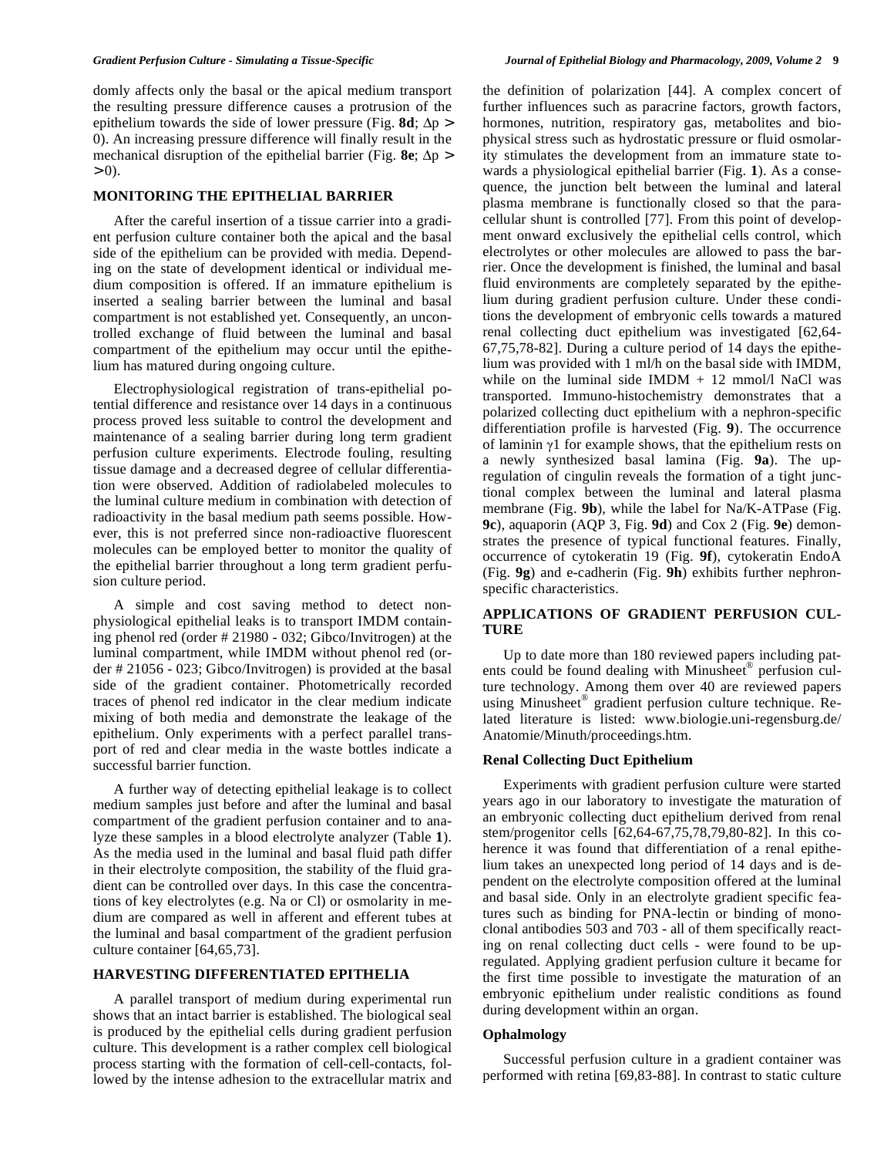domly affects only the basal or the apical medium transport the resulting pressure difference causes a protrusion of the epithelium towards the side of lower pressure (Fig.  $8d$ ;  $\Delta p$  > 0). An increasing pressure difference will finally result in the mechanical disruption of the epithelial barrier (Fig.  $8e$ ;  $\Delta p$ )  $> 0$ ).

## **MONITORING THE EPITHELIAL BARRIER**

 After the careful insertion of a tissue carrier into a gradient perfusion culture container both the apical and the basal side of the epithelium can be provided with media. Depending on the state of development identical or individual medium composition is offered. If an immature epithelium is inserted a sealing barrier between the luminal and basal compartment is not established yet. Consequently, an uncontrolled exchange of fluid between the luminal and basal compartment of the epithelium may occur until the epithelium has matured during ongoing culture.

 Electrophysiological registration of trans-epithelial potential difference and resistance over 14 days in a continuous process proved less suitable to control the development and maintenance of a sealing barrier during long term gradient perfusion culture experiments. Electrode fouling, resulting tissue damage and a decreased degree of cellular differentiation were observed. Addition of radiolabeled molecules to the luminal culture medium in combination with detection of radioactivity in the basal medium path seems possible. However, this is not preferred since non-radioactive fluorescent molecules can be employed better to monitor the quality of the epithelial barrier throughout a long term gradient perfusion culture period.

 A simple and cost saving method to detect nonphysiological epithelial leaks is to transport IMDM containing phenol red (order # 21980 - 032; Gibco/Invitrogen) at the luminal compartment, while IMDM without phenol red (order # 21056 - 023; Gibco/Invitrogen) is provided at the basal side of the gradient container. Photometrically recorded traces of phenol red indicator in the clear medium indicate mixing of both media and demonstrate the leakage of the epithelium. Only experiments with a perfect parallel transport of red and clear media in the waste bottles indicate a successful barrier function.

 A further way of detecting epithelial leakage is to collect medium samples just before and after the luminal and basal compartment of the gradient perfusion container and to analyze these samples in a blood electrolyte analyzer (Table **1**). As the media used in the luminal and basal fluid path differ in their electrolyte composition, the stability of the fluid gradient can be controlled over days. In this case the concentrations of key electrolytes (e.g. Na or Cl) or osmolarity in medium are compared as well in afferent and efferent tubes at the luminal and basal compartment of the gradient perfusion culture container [64,65,73].

#### **HARVESTING DIFFERENTIATED EPITHELIA**

 A parallel transport of medium during experimental run shows that an intact barrier is established. The biological seal is produced by the epithelial cells during gradient perfusion culture. This development is a rather complex cell biological process starting with the formation of cell-cell-contacts, followed by the intense adhesion to the extracellular matrix and the definition of polarization [44]. A complex concert of further influences such as paracrine factors, growth factors, hormones, nutrition, respiratory gas, metabolites and biophysical stress such as hydrostatic pressure or fluid osmolarity stimulates the development from an immature state towards a physiological epithelial barrier (Fig. **1**). As a consequence, the junction belt between the luminal and lateral plasma membrane is functionally closed so that the paracellular shunt is controlled [77]. From this point of development onward exclusively the epithelial cells control, which electrolytes or other molecules are allowed to pass the barrier. Once the development is finished, the luminal and basal fluid environments are completely separated by the epithelium during gradient perfusion culture. Under these conditions the development of embryonic cells towards a matured renal collecting duct epithelium was investigated [62,64- 67,75,78-82]. During a culture period of 14 days the epithelium was provided with 1 ml/h on the basal side with IMDM, while on the luminal side IMDM  $+ 12$  mmol/l NaCl was transported. Immuno-histochemistry demonstrates that a polarized collecting duct epithelium with a nephron-specific differentiation profile is harvested (Fig. **9**). The occurrence of laminin  $v1$  for example shows, that the epithelium rests on a newly synthesized basal lamina (Fig. **9a**). The upregulation of cingulin reveals the formation of a tight junctional complex between the luminal and lateral plasma membrane (Fig. **9b**), while the label for Na/K-ATPase (Fig. **9c**), aquaporin (AQP 3, Fig. **9d**) and Cox 2 (Fig. **9e**) demonstrates the presence of typical functional features. Finally, occurrence of cytokeratin 19 (Fig. **9f**), cytokeratin EndoA (Fig. **9g**) and e-cadherin (Fig. **9h**) exhibits further nephronspecific characteristics.

# **APPLICATIONS OF GRADIENT PERFUSION CUL-TURE**

 Up to date more than 180 reviewed papers including patents could be found dealing with Minusheet® perfusion culture technology. Among them over 40 are reviewed papers using Minusheet® gradient perfusion culture technique. Related literature is listed: www.biologie.uni-regensburg.de/ Anatomie/Minuth/proceedings.htm.

#### **Renal Collecting Duct Epithelium**

 Experiments with gradient perfusion culture were started years ago in our laboratory to investigate the maturation of an embryonic collecting duct epithelium derived from renal stem/progenitor cells [62,64-67,75,78,79,80-82]. In this coherence it was found that differentiation of a renal epithelium takes an unexpected long period of 14 days and is dependent on the electrolyte composition offered at the luminal and basal side. Only in an electrolyte gradient specific features such as binding for PNA-lectin or binding of monoclonal antibodies 503 and 703 - all of them specifically reacting on renal collecting duct cells - were found to be upregulated. Applying gradient perfusion culture it became for the first time possible to investigate the maturation of an embryonic epithelium under realistic conditions as found during development within an organ.

# **Ophalmology**

 Successful perfusion culture in a gradient container was performed with retina [69,83-88]. In contrast to static culture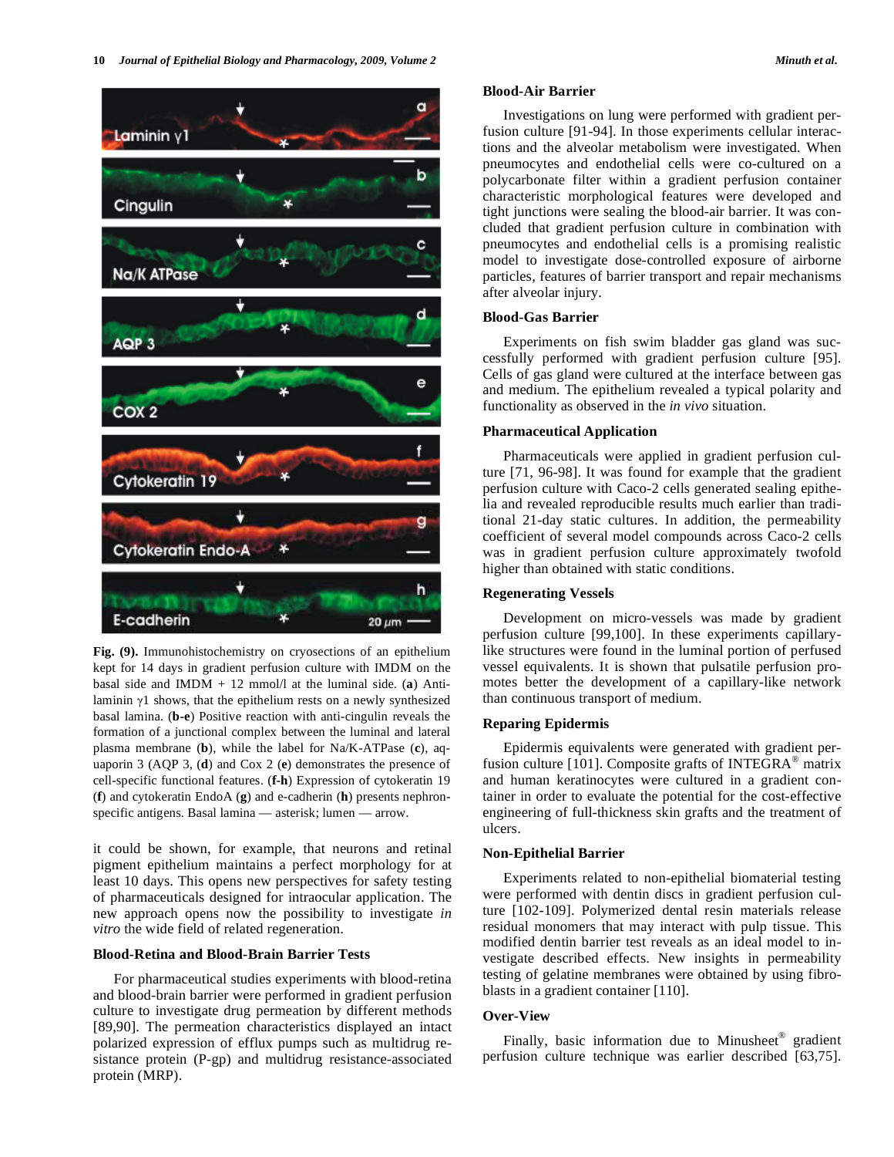

**Fig. (9).** Immunohistochemistry on cryosections of an epithelium kept for 14 days in gradient perfusion culture with IMDM on the basal side and IMDM  $+ 12$  mmol/l at the luminal side. (a) Antilaminin  $\gamma$ 1 shows, that the epithelium rests on a newly synthesized basal lamina. (**b-e**) Positive reaction with anti-cingulin reveals the formation of a junctional complex between the luminal and lateral plasma membrane (**b**), while the label for Na/K-ATPase (**c**), aquaporin 3 (AQP 3, (**d**) and Cox 2 (**e**) demonstrates the presence of cell-specific functional features. (**f-h**) Expression of cytokeratin 19 (**f**) and cytokeratin EndoA (**g**) and e-cadherin (**h**) presents nephronspecific antigens. Basal lamina — asterisk; lumen — arrow.

it could be shown, for example, that neurons and retinal pigment epithelium maintains a perfect morphology for at least 10 days. This opens new perspectives for safety testing of pharmaceuticals designed for intraocular application. The new approach opens now the possibility to investigate *in vitro* the wide field of related regeneration.

#### **Blood-Retina and Blood-Brain Barrier Tests**

 For pharmaceutical studies experiments with blood-retina and blood-brain barrier were performed in gradient perfusion culture to investigate drug permeation by different methods [89,90]. The permeation characteristics displayed an intact polarized expression of efflux pumps such as multidrug resistance protein (P-gp) and multidrug resistance-associated protein (MRP).

## **Blood-Air Barrier**

 Investigations on lung were performed with gradient perfusion culture [91-94]. In those experiments cellular interactions and the alveolar metabolism were investigated. When pneumocytes and endothelial cells were co-cultured on a polycarbonate filter within a gradient perfusion container characteristic morphological features were developed and tight junctions were sealing the blood-air barrier. It was concluded that gradient perfusion culture in combination with pneumocytes and endothelial cells is a promising realistic model to investigate dose-controlled exposure of airborne particles, features of barrier transport and repair mechanisms after alveolar injury.

#### **Blood-Gas Barrier**

 Experiments on fish swim bladder gas gland was successfully performed with gradient perfusion culture [95]. Cells of gas gland were cultured at the interface between gas and medium. The epithelium revealed a typical polarity and functionality as observed in the *in vivo* situation.

## **Pharmaceutical Application**

 Pharmaceuticals were applied in gradient perfusion culture [71, 96-98]. It was found for example that the gradient perfusion culture with Caco-2 cells generated sealing epithelia and revealed reproducible results much earlier than traditional 21-day static cultures. In addition, the permeability coefficient of several model compounds across Caco-2 cells was in gradient perfusion culture approximately twofold higher than obtained with static conditions.

#### **Regenerating Vessels**

 Development on micro-vessels was made by gradient perfusion culture [99,100]. In these experiments capillarylike structures were found in the luminal portion of perfused vessel equivalents. It is shown that pulsatile perfusion promotes better the development of a capillary-like network than continuous transport of medium.

# **Reparing Epidermis**

 Epidermis equivalents were generated with gradient perfusion culture [101]. Composite grafts of INTEGRA<sup>®</sup> matrix and human keratinocytes were cultured in a gradient container in order to evaluate the potential for the cost-effective engineering of full-thickness skin grafts and the treatment of ulcers.

#### **Non-Epithelial Barrier**

 Experiments related to non-epithelial biomaterial testing were performed with dentin discs in gradient perfusion culture [102-109]. Polymerized dental resin materials release residual monomers that may interact with pulp tissue. This modified dentin barrier test reveals as an ideal model to investigate described effects. New insights in permeability testing of gelatine membranes were obtained by using fibroblasts in a gradient container [110].

#### **Over-View**

Finally, basic information due to Minusheet<sup>®</sup> gradient perfusion culture technique was earlier described [63,75].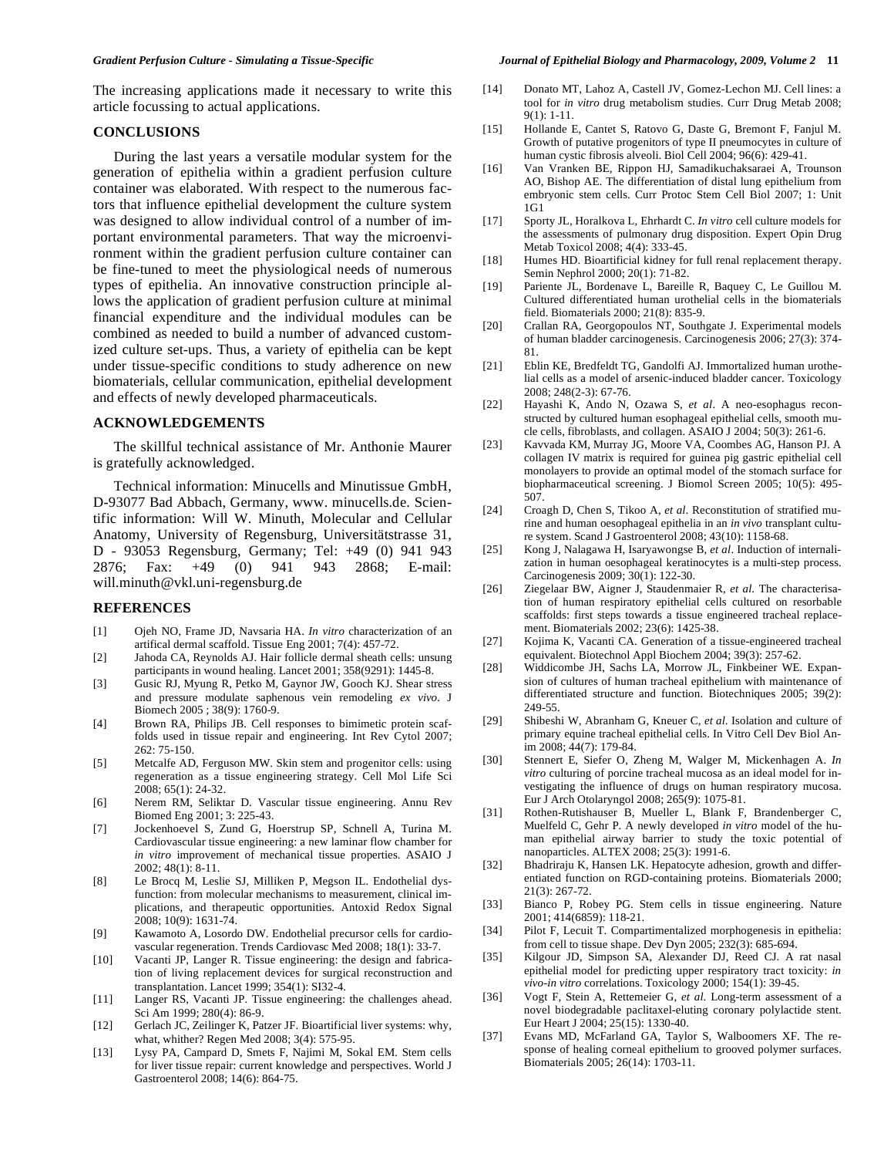The increasing applications made it necessary to write this article focussing to actual applications.

# **CONCLUSIONS**

 During the last years a versatile modular system for the generation of epithelia within a gradient perfusion culture container was elaborated. With respect to the numerous factors that influence epithelial development the culture system was designed to allow individual control of a number of important environmental parameters. That way the microenvironment within the gradient perfusion culture container can be fine-tuned to meet the physiological needs of numerous types of epithelia. An innovative construction principle allows the application of gradient perfusion culture at minimal financial expenditure and the individual modules can be combined as needed to build a number of advanced customized culture set-ups. Thus, a variety of epithelia can be kept under tissue-specific conditions to study adherence on new biomaterials, cellular communication, epithelial development and effects of newly developed pharmaceuticals.

# **ACKNOWLEDGEMENTS**

 The skillful technical assistance of Mr. Anthonie Maurer is gratefully acknowledged.

 Technical information: Minucells and Minutissue GmbH, D-93077 Bad Abbach, Germany, www. minucells.de. Scientific information: Will W. Minuth, Molecular and Cellular Anatomy, University of Regensburg, Universitätstrasse 31, D - 93053 Regensburg, Germany; Tel: +49 (0) 941 943 2876; Fax: +49 (0) 941 943 2868; E-mail: will.minuth@vkl.uni-regensburg.de

## **REFERENCES**

- [1] Ojeh NO, Frame JD, Navsaria HA. *In vitro* characterization of an artifical dermal scaffold. Tissue Eng 2001; 7(4): 457-72.
- [2] Jahoda CA, Reynolds AJ. Hair follicle dermal sheath cells: unsung participants in wound healing. Lancet 2001; 358(9291): 1445-8.
- [3] Gusic RJ, Myung R, Petko M, Gaynor JW, Gooch KJ. Shear stress and pressure modulate saphenous vein remodeling *ex vivo*. J Biomech 2005 ; 38(9): 1760-9.
- [4] Brown RA, Philips JB. Cell responses to bimimetic protein scaffolds used in tissue repair and engineering. Int Rev Cytol 2007; 262: 75-150.
- [5] Metcalfe AD, Ferguson MW. Skin stem and progenitor cells: using regeneration as a tissue engineering strategy. Cell Mol Life Sci 2008; 65(1): 24-32.
- [6] Nerem RM, Seliktar D. Vascular tissue engineering. Annu Rev Biomed Eng 2001; 3: 225-43.
- [7] Jockenhoevel S, Zund G, Hoerstrup SP, Schnell A, Turina M. Cardiovascular tissue engineering: a new laminar flow chamber for *in vitro* improvement of mechanical tissue properties. ASAIO J 2002; 48(1): 8-11.
- [8] Le Brocq M, Leslie SJ, Milliken P, Megson IL. Endothelial dysfunction: from molecular mechanisms to measurement, clinical implications, and therapeutic opportunities. Antoxid Redox Signal 2008; 10(9): 1631-74.
- [9] Kawamoto A, Losordo DW. Endothelial precursor cells for cardiovascular regeneration. Trends Cardiovasc Med 2008; 18(1): 33-7.
- [10] Vacanti JP, Langer R. Tissue engineering: the design and fabrication of living replacement devices for surgical reconstruction and transplantation. Lancet 1999; 354(1): SI32-4.
- [11] Langer RS, Vacanti JP. Tissue engineering: the challenges ahead. Sci Am 1999; 280(4): 86-9.
- [12] Gerlach JC, Zeilinger K, Patzer JF. Bioartificial liver systems: why, what, whither? Regen Med 2008; 3(4): 575-95.
- [13] Lysy PA, Campard D, Smets F, Najimi M, Sokal EM. Stem cells for liver tissue repair: current knowledge and perspectives. World J Gastroenterol 2008; 14(6): 864-75.
- [14] Donato MT, Lahoz A, Castell JV, Gomez-Lechon MJ. Cell lines: a tool for *in vitro* drug metabolism studies. Curr Drug Metab 2008; 9(1): 1-11.
- [15] Hollande E, Cantet S, Ratovo G, Daste G, Bremont F, Fanjul M. Growth of putative progenitors of type II pneumocytes in culture of human cystic fibrosis alveoli. Biol Cell 2004; 96(6): 429-41.
- [16] Van Vranken BE, Rippon HJ, Samadikuchaksaraei A, Trounson AO, Bishop AE. The differentiation of distal lung epithelium from embryonic stem cells. Curr Protoc Stem Cell Biol 2007; 1: Unit 1G1
- [17] Sporty JL, Horalkova L, Ehrhardt C. *In vitro* cell culture models for the assessments of pulmonary drug disposition. Expert Opin Drug Metab Toxicol 2008; 4(4): 333-45.
- [18] Humes HD. Bioartificial kidney for full renal replacement therapy. Semin Nephrol 2000; 20(1): 71-82.
- [19] Pariente JL, Bordenave L, Bareille R, Baquey C, Le Guillou M. Cultured differentiated human urothelial cells in the biomaterials field. Biomaterials 2000; 21(8): 835-9.
- [20] Crallan RA, Georgopoulos NT, Southgate J. Experimental models of human bladder carcinogenesis. Carcinogenesis 2006; 27(3): 374- 81.
- [21] Eblin KE, Bredfeldt TG, Gandolfi AJ. Immortalized human urothelial cells as a model of arsenic-induced bladder cancer. Toxicology 2008; 248(2-3): 67-76.
- [22] Hayashi K, Ando N, Ozawa S, *et al*. A neo-esophagus reconstructed by cultured human esophageal epithelial cells, smooth mucle cells, fibroblasts, and collagen. ASAIO J 2004; 50(3): 261-6.
- [23] Kavvada KM, Murray JG, Moore VA, Coombes AG, Hanson PJ. A collagen IV matrix is required for guinea pig gastric epithelial cell monolayers to provide an optimal model of the stomach surface for biopharmaceutical screening. J Biomol Screen 2005; 10(5): 495- 507.
- [24] Croagh D, Chen S, Tikoo A, *et al*. Reconstitution of stratified murine and human oesophageal epithelia in an *in vivo* transplant culture system. Scand J Gastroenterol 2008; 43(10): 1158-68.
- [25] Kong J, Nalagawa H, Isaryawongse B, *et al*. Induction of internalization in human oesophageal keratinocytes is a multi-step process. Carcinogenesis 2009; 30(1): 122-30.
- [26] Ziegelaar BW, Aigner J, Staudenmaier R, *et al*. The characterisation of human respiratory epithelial cells cultured on resorbable scaffolds: first steps towards a tissue engineered tracheal replacement. Biomaterials 2002; 23(6): 1425-38.
- [27] Kojima K, Vacanti CA. Generation of a tissue-engineered tracheal equivalent. Biotechnol Appl Biochem 2004; 39(3): 257-62.
- [28] Widdicombe JH, Sachs LA, Morrow JL, Finkbeiner WE. Expansion of cultures of human tracheal epithelium with maintenance of differentiated structure and function. Biotechniques 2005; 39(2): 249-55.
- [29] Shibeshi W, Abranham G, Kneuer C, *et al*. Isolation and culture of primary equine tracheal epithelial cells. In Vitro Cell Dev Biol Anim 2008; 44(7): 179-84.
- [30] Stennert E, Siefer O, Zheng M, Walger M, Mickenhagen A. *In vitro* culturing of porcine tracheal mucosa as an ideal model for investigating the influence of drugs on human respiratory mucosa. Eur J Arch Otolaryngol 2008; 265(9): 1075-81.
- [31] Rothen-Rutishauser B, Mueller L, Blank F, Brandenberger C, Muelfeld C, Gehr P. A newly developed *in vitro* model of the human epithelial airway barrier to study the toxic potential of nanoparticles. ALTEX 2008; 25(3): 1991-6.
- [32] Bhadriraju K, Hansen LK. Hepatocyte adhesion, growth and differentiated function on RGD-containing proteins. Biomaterials 2000; 21(3): 267-72.
- [33] Bianco P, Robey PG. Stem cells in tissue engineering. Nature 2001; 414(6859): 118-21.
- [34] Pilot F, Lecuit T. Compartimentalized morphogenesis in epithelia: from cell to tissue shape. Dev Dyn 2005; 232(3): 685-694.
- [35] Kilgour JD, Simpson SA, Alexander DJ, Reed CJ. A rat nasal epithelial model for predicting upper respiratory tract toxicity: *in vivo*-*in vitro* correlations. Toxicology 2000; 154(1): 39-45.
- [36] Vogt F, Stein A, Rettemeier G, *et al*. Long-term assessment of a novel biodegradable paclitaxel-eluting coronary polylactide stent. Eur Heart J 2004; 25(15): 1330-40.
- [37] Evans MD, McFarland GA, Taylor S, Walboomers XF. The response of healing corneal epithelium to grooved polymer surfaces. Biomaterials 2005; 26(14): 1703-11.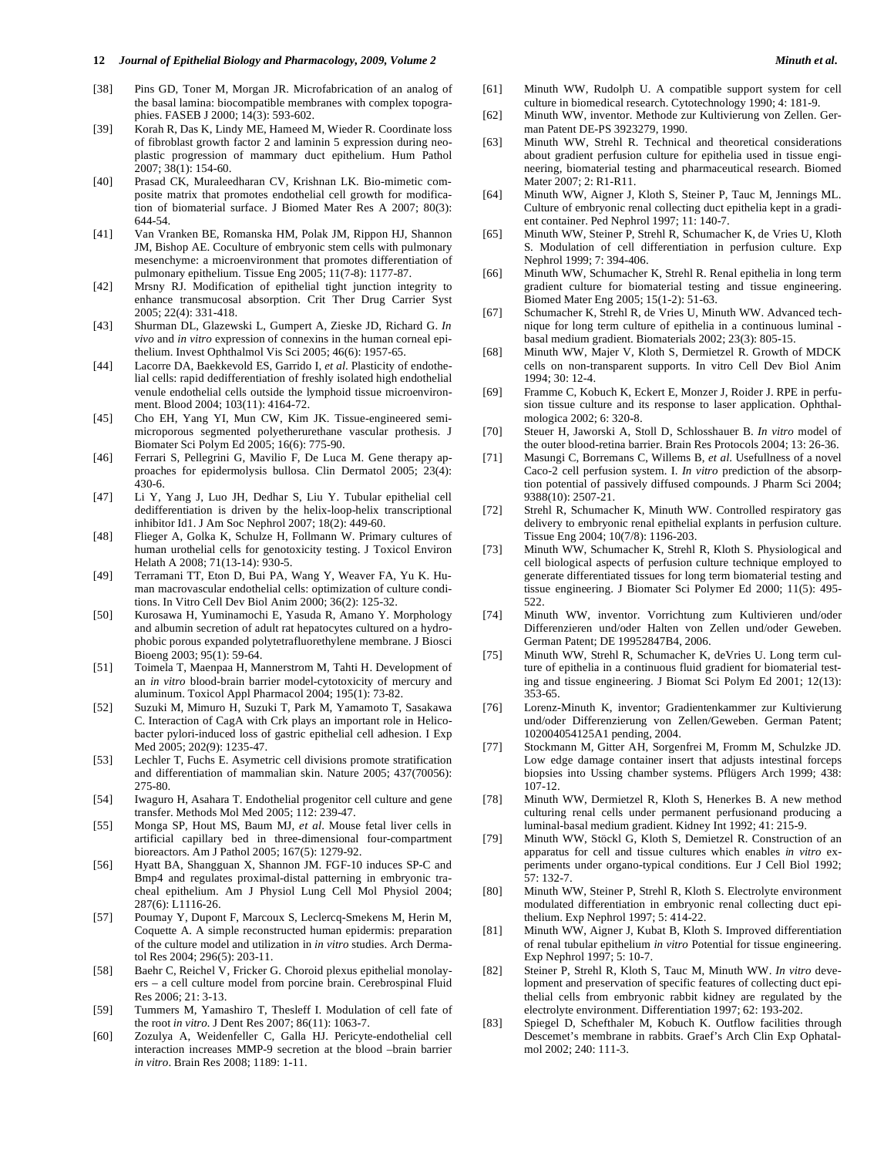- [38] Pins GD, Toner M, Morgan JR. Microfabrication of an analog of the basal lamina: biocompatible membranes with complex topographies. FASEB J 2000; 14(3): 593-602.
- [39] Korah R, Das K, Lindy ME, Hameed M, Wieder R. Coordinate loss of fibroblast growth factor 2 and laminin 5 expression during neoplastic progression of mammary duct epithelium. Hum Pathol 2007; 38(1): 154-60.
- [40] Prasad CK, Muraleedharan CV, Krishnan LK. Bio-mimetic composite matrix that promotes endothelial cell growth for modification of biomaterial surface. J Biomed Mater Res A 2007; 80(3): 644-54.
- [41] Van Vranken BE, Romanska HM, Polak JM, Rippon HJ, Shannon JM, Bishop AE. Coculture of embryonic stem cells with pulmonary mesenchyme: a microenvironment that promotes differentiation of pulmonary epithelium. Tissue Eng 2005; 11(7-8): 1177-87.
- [42] Mrsny RJ. Modification of epithelial tight junction integrity to enhance transmucosal absorption. Crit Ther Drug Carrier Syst 2005; 22(4): 331-418.
- [43] Shurman DL, Glazewski L, Gumpert A, Zieske JD, Richard G. *In vivo* and *in vitro* expression of connexins in the human corneal epithelium. Invest Ophthalmol Vis Sci 2005; 46(6): 1957-65.
- [44] Lacorre DA, Baekkevold ES, Garrido I, *et al*. Plasticity of endothelial cells: rapid dedifferentiation of freshly isolated high endothelial venule endothelial cells outside the lymphoid tissue microenvironment. Blood 2004; 103(11): 4164-72.
- [45] Cho EH, Yang YI, Mun CW, Kim JK. Tissue-engineered semimicroporous segmented polyetherurethane vascular prothesis. J Biomater Sci Polym Ed 2005; 16(6): 775-90.
- [46] Ferrari S, Pellegrini G, Mavilio F, De Luca M. Gene therapy approaches for epidermolysis bullosa. Clin Dermatol 2005; 23(4): 430-6.
- [47] Li Y, Yang J, Luo JH, Dedhar S, Liu Y. Tubular epithelial cell dedifferentiation is driven by the helix-loop-helix transcriptional inhibitor Id1. J Am Soc Nephrol 2007; 18(2): 449-60.
- [48] Flieger A, Golka K, Schulze H, Follmann W. Primary cultures of human urothelial cells for genotoxicity testing. J Toxicol Environ Helath A 2008; 71(13-14): 930-5.
- [49] Terramani TT, Eton D, Bui PA, Wang Y, Weaver FA, Yu K. Human macrovascular endothelial cells: optimization of culture conditions. In Vitro Cell Dev Biol Anim 2000; 36(2): 125-32.
- [50] Kurosawa H, Yuminamochi E, Yasuda R, Amano Y. Morphology and albumin secretion of adult rat hepatocytes cultured on a hydrophobic porous expanded polytetrafluorethylene membrane. J Biosci Bioeng 2003; 95(1): 59-64.
- [51] Toimela T, Maenpaa H, Mannerstrom M, Tahti H. Development of an *in vitro* blood-brain barrier model-cytotoxicity of mercury and aluminum. Toxicol Appl Pharmacol 2004; 195(1): 73-82.
- [52] Suzuki M, Mimuro H, Suzuki T, Park M, Yamamoto T, Sasakawa C. Interaction of CagA with Crk plays an important role in Helicobacter pylori-induced loss of gastric epithelial cell adhesion. I Exp Med 2005; 202(9): 1235-47.
- [53] Lechler T, Fuchs E. Asymetric cell divisions promote stratification and differentiation of mammalian skin. Nature 2005; 437(70056): 275-80.
- [54] Iwaguro H, Asahara T. Endothelial progenitor cell culture and gene transfer. Methods Mol Med 2005; 112: 239-47.
- [55] Monga SP, Hout MS, Baum MJ, *et al*. Mouse fetal liver cells in artificial capillary bed in three-dimensional four-compartment bioreactors. Am J Pathol 2005; 167(5): 1279-92.
- [56] Hyatt BA, Shangguan X, Shannon JM. FGF-10 induces SP-C and Bmp4 and regulates proximal-distal patterning in embryonic tracheal epithelium. Am J Physiol Lung Cell Mol Physiol 2004; 287(6): L1116-26.
- [57] Poumay Y, Dupont F, Marcoux S, Leclercq-Smekens M, Herin M, Coquette A. A simple reconstructed human epidermis: preparation of the culture model and utilization in *in vitro* studies. Arch Dermatol Res 2004; 296(5): 203-11.
- [58] Baehr C, Reichel V, Fricker G. Choroid plexus epithelial monolayers – a cell culture model from porcine brain. Cerebrospinal Fluid Res 2006; 21: 3-13.
- [59] Tummers M, Yamashiro T, Thesleff I. Modulation of cell fate of the root *in vitro.* J Dent Res 2007; 86(11): 1063-7.
- [60] Zozulya A, Weidenfeller C, Galla HJ. Pericyte-endothelial cell interaction increases MMP-9 secretion at the blood –brain barrier *in vitro*. Brain Res 2008; 1189: 1-11.
- [61] Minuth WW, Rudolph U. A compatible support system for cell culture in biomedical research. Cytotechnology 1990; 4: 181-9.
- [62] Minuth WW, inventor. Methode zur Kultivierung von Zellen. German Patent DE-PS 3923279, 1990.
- [63] Minuth WW, Strehl R. Technical and theoretical considerations about gradient perfusion culture for epithelia used in tissue engineering, biomaterial testing and pharmaceutical research. Biomed Mater 2007; 2: R1-R11.
- [64] Minuth WW, Aigner J, Kloth S, Steiner P, Tauc M, Jennings ML. Culture of embryonic renal collecting duct epithelia kept in a gradient container. Ped Nephrol 1997; 11: 140-7.
- [65] Minuth WW, Steiner P, Strehl R, Schumacher K, de Vries U, Kloth S. Modulation of cell differentiation in perfusion culture. Exp Nephrol 1999; 7: 394-406.
- [66] Minuth WW, Schumacher K, Strehl R. Renal epithelia in long term gradient culture for biomaterial testing and tissue engineering. Biomed Mater Eng 2005; 15(1-2): 51-63.
- [67] Schumacher K, Strehl R, de Vries U, Minuth WW. Advanced technique for long term culture of epithelia in a continuous luminal basal medium gradient. Biomaterials 2002; 23(3): 805-15.
- [68] Minuth WW, Majer V, Kloth S, Dermietzel R. Growth of MDCK cells on non-transparent supports. In vitro Cell Dev Biol Anim 1994; 30: 12-4.
- [69] Framme C, Kobuch K, Eckert E, Monzer J, Roider J. RPE in perfusion tissue culture and its response to laser application. Ophthalmologica 2002; 6: 320-8.
- [70] Steuer H, Jaworski A, Stoll D, Schlosshauer B. *In vitro* model of the outer blood-retina barrier. Brain Res Protocols 2004; 13: 26-36.
- [71] Masungi C, Borremans C, Willems B, *et al*. Usefullness of a novel Caco-2 cell perfusion system. I. *In vitro* prediction of the absorption potential of passively diffused compounds. J Pharm Sci 2004; 9388(10): 2507-21.
- [72] Strehl R, Schumacher K, Minuth WW. Controlled respiratory gas delivery to embryonic renal epithelial explants in perfusion culture. Tissue Eng 2004; 10(7/8): 1196-203.
- [73] Minuth WW, Schumacher K, Strehl R, Kloth S. Physiological and cell biological aspects of perfusion culture technique employed to generate differentiated tissues for long term biomaterial testing and tissue engineering. J Biomater Sci Polymer Ed 2000; 11(5): 495- 522.
- [74] Minuth WW, inventor. Vorrichtung zum Kultivieren und/oder Differenzieren und/oder Halten von Zellen und/oder Geweben. German Patent; DE 19952847B4, 2006.
- [75] Minuth WW, Strehl R, Schumacher K, deVries U. Long term culture of epithelia in a continuous fluid gradient for biomaterial testing and tissue engineering. J Biomat Sci Polym Ed 2001; 12(13): 353-65.
- [76] Lorenz-Minuth K, inventor; Gradientenkammer zur Kultivierung und/oder Differenzierung von Zellen/Geweben. German Patent; 102004054125A1 pending, 2004.
- [77] Stockmann M, Gitter AH, Sorgenfrei M, Fromm M, Schulzke JD. Low edge damage container insert that adjusts intestinal forceps biopsies into Ussing chamber systems. Pflügers Arch 1999; 438: 107-12.
- [78] Minuth WW, Dermietzel R, Kloth S, Henerkes B. A new method culturing renal cells under permanent perfusionand producing a luminal-basal medium gradient. Kidney Int 1992; 41: 215-9.
- [79] Minuth WW, Stöckl G, Kloth S, Demietzel R. Construction of an apparatus for cell and tissue cultures which enables *in vitro* experiments under organo-typical conditions. Eur J Cell Biol 1992; 57: 132-7.
- [80] Minuth WW, Steiner P, Strehl R, Kloth S. Electrolyte environment modulated differentiation in embryonic renal collecting duct epithelium. Exp Nephrol 1997; 5: 414-22.
- [81] Minuth WW, Aigner J, Kubat B, Kloth S. Improved differentiation of renal tubular epithelium *in vitro* Potential for tissue engineering. Exp Nephrol 1997; 5: 10-7.
- [82] Steiner P, Strehl R, Kloth S, Tauc M, Minuth WW. *In vitro* development and preservation of specific features of collecting duct epithelial cells from embryonic rabbit kidney are regulated by the electrolyte environment. Differentiation 1997; 62: 193-202.
- [83] Spiegel D, Schefthaler M, Kobuch K. Outflow facilities through Descemet's membrane in rabbits. Graef's Arch Clin Exp Ophatalmol 2002; 240: 111-3.